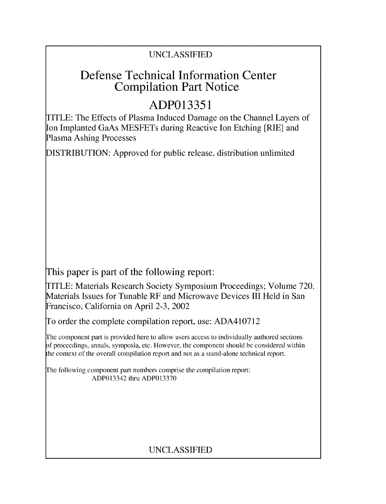## UNCLASSIFIED

# Defense Technical Information Center Compilation Part Notice

# **ADP013351**

TITLE: The Effects of Plasma Induced Damage on the Channel Layers of Ion Implanted GaAs MESFETs during Reactive Ion Etching [RIE] and Plasma Ashing Processes

DISTRIBUTION: Approved for public release, distribution unlimited

This paper is part of the following report:

TITLE: Materials Research Society Symposium Proceedings; Volume 720. Materials Issues for Tunable RF and Microwave Devices III Held in San Francisco, California on April 2-3, 2002

To order the complete compilation report, use: ADA410712

The component part is provided here to allow users access to individually authored sections **)f** proceedings, annals, symposia, etc. However, the component should be considered within [he context of the overall compilation report and not as a stand-alone technical report.

The following component part numbers comprise the compilation report: ADP013342 thru ADP013370

## UNCLASSIFIED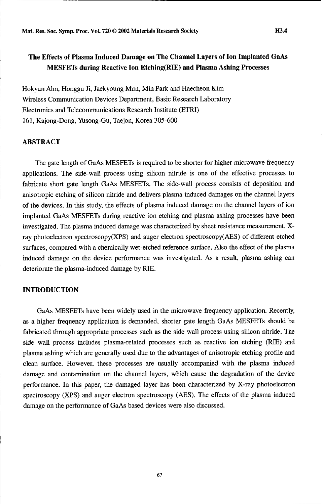### The Effects of Plasma Induced Damage on The Channel Layers of Ion Implanted GaAs MESFETs during Reactive Ion Etching(RIE) and Plasma Ashing Processes

Hokyun Aln, Honggu Ji, Jaekyoung Mun, Min Park and Haecheon Kim Wireless Communication Devices Department, Basic Research Laboratory Electronics and Telecommunications Research Institute (ETRI) 161, Kajong-Dong, Yusong-Gu, Taejon, Korea 305-600

#### ABSTRACT

The gate length of GaAs MESFETs is required to be shorter for higher microwave frequency applications. The side-wall process using silicon nitride is one of the effective processes to fabricate short gate length GaAs MESFETs. The side-wall process consists of deposition and anisotropic etching of silicon nitride and delivers plasma induced damages on the channel layers of the devices. In this study, the effects of plasma induced damage on the channel layers of ion implanted GaAs MESFETs during reactive ion etching and plasma ashing processes have been investigated. The plasma induced damage was characterized by sheet resistance measurement, Xray photoelectron spectroscopy(XPS) and auger electron spectroscopy(AES) of different etched surfaces, compared with a chemically wet-etched reference surface. Also the effect of the plasma induced damage on the device performance was investigated. As a result, plasma ashing can deteriorate the plasma-induced damage by RIE.

#### **INTRODUCTION**

GaAs MESFETs have been widely used in the microwave frequency application. Recently, as a higher frequency application is demanded, shorter gate length GaAs MESFETs should be fabricated through appropriate processes such as the side wall process using silicon nitride. The side wall process includes plasma-related processes such as reactive ion etching (RIE) and plasma ashing which are generally used due to the advantages of anisotropic etching profile and clean surface. However, these processes are usually accompanied with the plasma induced damage and contamination on the channel layers, which cause the degradation of the device performance. In this paper, the damaged layer has been characterized by X-ray photoelectron spectroscopy (XPS) and auger electron spectroscopy (AES). The effects of the plasma induced damage on the performance of GaAs based devices were also discussed.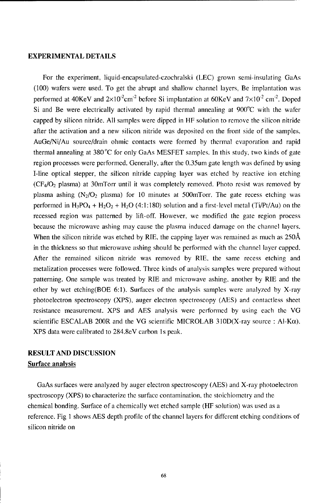#### EXPERIMENTAL **DETAILS**

For the experiment, liquid-encapsulated-czochralski (LEC) grown semi-insulating GaAs (100) wafers were used. To get the abrupt and shallow channel layers, Be implantation was performed at 40KeV and  $2\times10^2$ cm<sup>-2</sup> before Si implantation at 60KeV and  $7\times10^2$  cm<sup>-2</sup>. Doped Si and Be were electrically activated by rapid thermal annealing at 900'C with the wafer capped by silicon nitride. All samples were dipped in HF solution to remove the silicon nitride after the activation and a new silicon nitride was deposited on the front side of the samples. AuGe/Ni/Au source/drain ohmic contacts were formed by thermal evaporation and rapid thermal annealing at  $380^{\circ}$ C for only GaAs MESFET samples. In this study, two kinds of gate region processes were performed. Generally, after the 0.35um gate length was defined by using I-line optical stepper, the silicon nitride capping layer was etched by reactive ion etching  $(CF<sub>4</sub>/O<sub>2</sub>)$  plasma) at 30mTorr until it was completely removed. Photo resist was removed by plasma ashing  $(N_2/O_2)$  plasma) for 10 minutes at 500mTorr. The gate recess etching was performed in  $H_3PO_4 + H_2O_2 + H_2O$  (4:1:180) solution and a first-level metal (Ti/Pt/Au) on the recessed region was patterned by lift-off. However, we modified the gate region process because the microwave ashing may cause the plasma induced damage on the channel layers. When the silicon nitride was etched by RIE, the capping layer was remained as much as 250Å in the thickness so that microwave ashing should be performed with the channel layer capped. After the remained silicon nitride was removed by RIE, the same recess etching and metalization processes were followed. Three kinds of analysis samples were prepared without patterning. One sample was treated by RIE and microwave ashing, another by RIE and the other by wet etching(BOE 6:1). Surfaces of the analysis samples were analyzed by X-ray photoelectron spectroscopy (XPS), auger electron spectroscopy (AES) and contactless sheet resistance measurement. XPS and AES analysis were performed by using each the VG scientific ESCALAB 200R and the VG scientific MICROLAB 310D(X-ray source :  $AI-K\alpha$ ). XPS data were calibrated to 284.8eV carbon **I** s peak.

### **RESULT AND DISCUSSION** Surface analysis

GaAs surfaces were analyzed by auger electron spectroscopy (AES) and X-ray photoelectron spectroscopy (XPS) to characterize the surface contamination, the stoichiometry and the chemical bonding. Surface of a chemically wet etched sample (HF solution) was used as a reference. Fig **I** shows AES depth profile of the channel layers for different etching conditions of silicon nitride on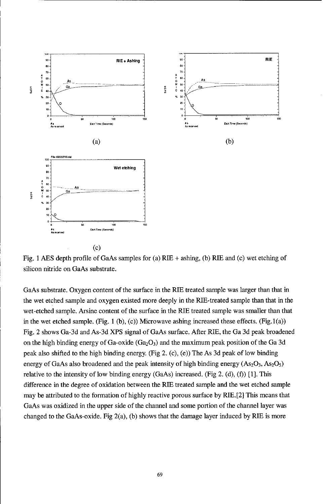

Fig. **1 ABS** depth profile of GaAs samples for (a) RTB **+** ashing, **(b)** RIE and **(c)** wet etching of silicon nitride on GaAs substrate.

GaAs substrate. Oxygen content of the surface in the RIB treated sample was larger than that in the wet etched sample and oxygen existed more deeply in the RIE-treated sample than that in the wet-etched sample. Arsine content of the surface in the RIE treated sample was smaller than that in the wet etched sample. (Fig.  $1$  (b),  $(c)$ ) Microwave ashing increased these effects. (Fig.  $1(a)$ ) Fig. 2 shows Ga-3d and As-3d XPS signal of GaAs surface. After RIB, the Ga **3d** peak broadened on the high binding energy of Ga-oxide  $(Ga_2O_3)$  and the maximum peak position of the Ga 3d peak also shifted to the high binding energy. (Fig 2. (c), (e)) The As **3d** peak of low binding energy of GaAs also broadened and the peak intensity of high binding energy  $(As_2O_3, As_2O_5)$ relative to the intensity of low binding energy (GaAs) increased. (Fig 2. **(d), (f)) [1].** This difference in the degree of oxidation between the RIB treated sample and the wet etched sample may be attributed to the formation of **highly** reactive porous surface **by** RIB.[2] This means that GaAs was oxidized in the upper side of the channel and some portion of the channel layer was changed to the GaAs-oxide. Fig 2(a), **(b)** shows that the damage layer induced **by** RIB is more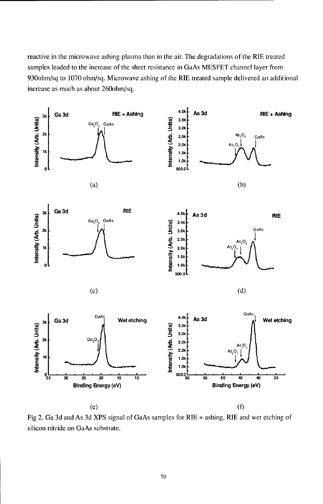reactive in the microwave ashing plasma than in the air. The degradations of the RIE treated samples leaded to the increase of the sheet resistance in GaAs MESFET channel layer from 930ohm/sq to 1070 ohm/sq. Microwave ashing of the RIE treated sample delivered an additional increase as much as about 260ohm/sq.



Fig 2. Ga 3d and As 3d XPS signal of GaAs samples for RIE + ashing, RIE and wet etching of silicon nitride on GaAs substrate.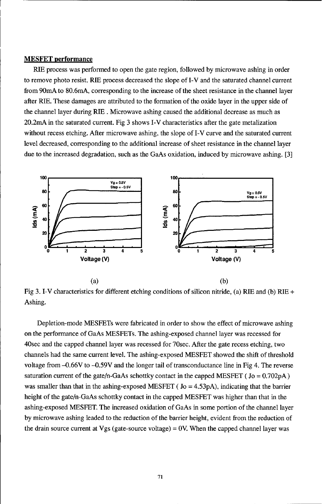#### **MESFET** performance

RIE process was performed to open the gate region, followed by microwave ashing in order to remove photo resist. RIE process decreased the slope of I-V and the saturated channel current from 90mA to 80.6mA, corresponding to the increase of the sheet resistance in the channel layer after RIE. These damages are attributed to the formation of the oxide layer in the upper side of the channel layer during RIE . Microwave ashing caused the additional decrease as much as 20.2mA in the saturated current. Fig 3 shows I-V characteristics after the gate metalization without recess etching. After microwave ashing, the slope of I-V curve and the saturated current level decreased, corresponding to the additional increase of sheet resistance in the channel layer due to the increased degradation, such as the GaAs oxidation, induced by microwave ashing. [3]



Fig 3. I-V characteristics for different etching conditions of silicon nitride, (a) RIE and (b) RIE **+** Ashing.

Depletion-mode MESFETs were fabricated in order to show the effect of microwave ashing on the performance of GaAs MESFETs. The ashing-exposed channel layer was recessed for 40sec and the capped channel layer was recessed for 70sec. After the gate recess etching, two channels had the same current level. The ashing-exposed MESFET showed the shift of threshold voltage from -0.66V to -0.59V and the longer tail of transconductance line in Fig 4. The reverse saturation current of the gate/n-GaAs schottky contact in the capped MESFET ( $Jo = 0.702pA$ ) was smaller than that in the ashing-exposed MESFET ( $Jo = 4.53pA$ ), indicating that the barrier height of the gate/n-GaAs schottky contact in the capped MESFET was higher than that in the ashing-exposed MESFET. The increased oxidation of GaAs in some portion of the channel layer by microwave ashing leaded to the reduction of the barrier height, evident from the reduction of the drain source current at Vgs (gate-source voltage)  $= 0V$ . When the capped channel layer was